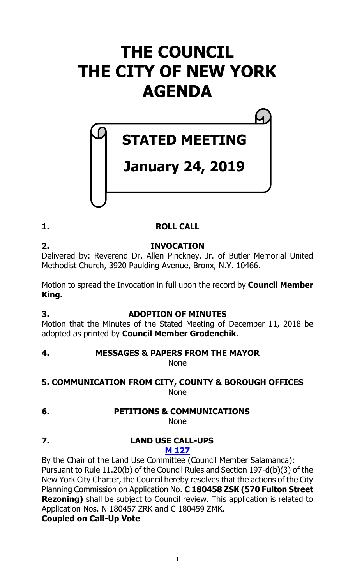# **THE COUNCIL THE CITY OF NEW YORK AGENDA**

# **STATED MEETING**

# **January 24, 2019**

# **1. ROLL CALL**

**2. INVOCATION** Delivered by: Reverend Dr. Allen Pinckney, Jr. of Butler Memorial United Methodist Church, 3920 Paulding Avenue, Bronx, N.Y. 10466.

Motion to spread the Invocation in full upon the record by **Council Member King.**

# **3. ADOPTION OF MINUTES**

Motion that the Minutes of the Stated Meeting of December 11, 2018 be adopted as printed by **Council Member Grodenchik**.

# **4. MESSAGES & PAPERS FROM THE MAYOR**

None

# **5. COMMUNICATION FROM CITY, COUNTY & BOROUGH OFFICES** None

**6. PETITIONS & COMMUNICATIONS**

None

**7. LAND USE CALL-UPS M [127](https://legistar.council.nyc.gov/LegislationDetail.aspx?ID=3843181&GUID=DD2A7246-98F6-4FE4-89E9-02318AD8FA2B&Options=ID|&Search=)**

By the Chair of the Land Use Committee (Council Member Salamanca): Pursuant to Rule 11.20(b) of the Council Rules and Section 197-d(b)(3) of the New York City Charter, the Council hereby resolves that the actions of the City Planning Commission on Application No. **C 180458 ZSK (570 Fulton Street Rezoning)** shall be subject to Council review. This application is related to Application Nos. N 180457 ZRK and C 180459 ZMK.

**Coupled on Call-Up Vote**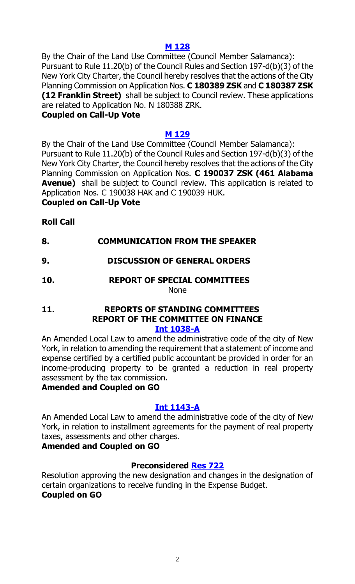# **M [128](https://legistar.council.nyc.gov/LegislationDetail.aspx?ID=3843182&GUID=1E649734-C74D-4613-BBE9-FCC8E6644CF5&Options=ID|&Search=)**

By the Chair of the Land Use Committee (Council Member Salamanca): Pursuant to Rule 11.20(b) of the Council Rules and Section 197-d(b)(3) of the New York City Charter, the Council hereby resolves that the actions of the City Planning Commission on Application Nos. **C 180389 ZSK** and **C 180387 ZSK (12 Franklin Street)** shall be subject to Council review. These applications are related to Application No. N 180388 ZRK.

#### **Coupled on Call-Up Vote**

#### **M [129](https://legistar.council.nyc.gov/LegislationDetail.aspx?ID=3843183&GUID=55A1B4C9-3783-4B18-B9F0-DB9602178C87&Options=ID|&Search=)**

By the Chair of the Land Use Committee (Council Member Salamanca): Pursuant to Rule 11.20(b) of the Council Rules and Section 197-d(b)(3) of the New York City Charter, the Council hereby resolves that the actions of the City Planning Commission on Application Nos. **C 190037 ZSK (461 Alabama Avenue)** shall be subject to Council review. This application is related to Application Nos. C 190038 HAK and C 190039 HUK. **Coupled on Call-Up Vote**

#### **Roll Call**

- **8. COMMUNICATION FROM THE SPEAKER**
- **9. DISCUSSION OF GENERAL ORDERS**

#### **10. REPORT OF SPECIAL COMMITTEES** None

#### **11. REPORTS OF STANDING COMMITTEES REPORT OF THE COMMITTEE ON FINANCE [Int 1038-A](https://legistar.council.nyc.gov/LegislationDetail.aspx?ID=3557684&GUID=9A1FF8FF-374B-4EF7-AD8E-0EDE9310C416&Options=&Search=)**

An Amended Local Law to amend the administrative code of the city of New York, in relation to amending the requirement that a statement of income and expense certified by a certified public accountant be provided in order for an income-producing property to be granted a reduction in real property assessment by the tax commission.

#### **Amended and Coupled on GO**

#### **[Int 1143-A](https://legistar.council.nyc.gov/LegislationDetail.aspx?ID=3704327&GUID=16D8634A-40D2-4029-809D-7CBFCD7E990E&Options=&Search=)**

An Amended Local Law to amend the administrative code of the city of New York, in relation to installment agreements for the payment of real property taxes, assessments and other charges.

#### **Amended and Coupled on GO**

# **Preconsidered [Res](https://legistar.council.nyc.gov/LegislationDetail.aspx?ID=3838658&GUID=A72FCF7E-FDA8-4E9A-A6D6-B6A16617F3EA&Options=&Search=) 722**

Resolution approving the new designation and changes in the designation of certain organizations to receive funding in the Expense Budget. **Coupled on GO**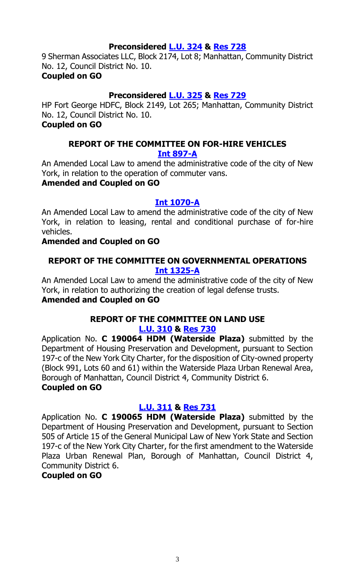### **Preconsidered [L.U. 324](https://legistar.council.nyc.gov/LegislationDetail.aspx?ID=3840122&GUID=BBFE13A9-8995-4289-B541-5B1F430B03FD&Options=&Search=) & [Res](https://legistar.council.nyc.gov/LegislationDetail.aspx?ID=3844930&GUID=D23E24FB-5C96-4DBA-9E28-EBAE32AB32E3&Options=&Search=) 728**

9 Sherman Associates LLC, Block 2174, Lot 8; Manhattan, Community District No. 12, Council District No. 10.

### **Coupled on GO**

# **Preconsidered [L.U. 325](https://legistar.council.nyc.gov/LegislationDetail.aspx?ID=3840167&GUID=3463F837-2E67-404E-BAF1-CF6ED6106C97&Options=&Search=) & [Res](https://legistar.council.nyc.gov/LegislationDetail.aspx?ID=3844931&GUID=03642B5B-15DE-41D0-9841-56F5A28D82B2&Options=&Search=) 729**

HP Fort George HDFC, Block 2149, Lot 265; Manhattan, Community District No. 12, Council District No. 10.

# **Coupled on GO**

### **REPORT OF THE COMMITTEE ON FOR-HIRE VEHICLES [Int 897-A](https://legistar.council.nyc.gov/LegislationDetail.aspx?ID=3498505&GUID=70DB1544-80FD-4AA6-8593-1C56C7E7607F&Options=&Search=)**

An Amended Local Law to amend the administrative code of the city of New York, in relation to the operation of commuter vans.

# **Amended and Coupled on GO**

# **[Int 1070-A](https://legistar.council.nyc.gov/LegislationDetail.aspx?ID=3597760&GUID=C59F09D7-5E1F-4656-9294-C0326D4EBBA3&Options=&Search=)**

An Amended Local Law to amend the administrative code of the city of New York, in relation to leasing, rental and conditional purchase of for-hire vehicles.

# **Amended and Coupled on GO**

### **REPORT OF THE COMMITTEE ON GOVERNMENTAL OPERATIONS [Int 1325-A](https://legistar.council.nyc.gov/LegislationDetail.aspx?ID=3823152&GUID=665DDDF9-0F16-445F-857A-70A6A5BD5068&Options=&Search=)**

An Amended Local Law to amend the administrative code of the city of New York, in relation to authorizing the creation of legal defense trusts. **Amended and Coupled on GO**

#### **REPORT OF THE COMMITTEE ON LAND USE [L.U. 310](https://legistar.council.nyc.gov/LegislationDetail.aspx?ID=3785423&GUID=3F696999-1B45-465B-9EE2-DCA78847F7E2&Options=&Search=) & [Res](https://legistar.council.nyc.gov/LegislationDetail.aspx?ID=3841460&GUID=348F2CF1-0E8E-4315-BF10-FEA4CCC9006E&Options=&Search=) 730**

Application No. **C 190064 HDM (Waterside Plaza)** submitted by the Department of Housing Preservation and Development, pursuant to Section 197-c of the New York City Charter, for the disposition of City-owned property (Block 991, Lots 60 and 61) within the Waterside Plaza Urban Renewal Area, Borough of Manhattan, Council District 4, Community District 6. **Coupled on GO**

# **[L.U. 311](https://legistar.council.nyc.gov/LegislationDetail.aspx?ID=3785424&GUID=A272FFDD-8BBA-4145-962F-ACA5C354432F&Options=&Search=) & [Res](https://legistar.council.nyc.gov/LegislationDetail.aspx?ID=3841461&GUID=46DB9851-9360-4E33-8B5D-EDC97058ED34&Options=&Search=) 731**

Application No. **C 190065 HDM (Waterside Plaza)** submitted by the Department of Housing Preservation and Development, pursuant to Section 505 of Article 15 of the General Municipal Law of New York State and Section 197-c of the New York City Charter, for the first amendment to the Waterside Plaza Urban Renewal Plan, Borough of Manhattan, Council District 4, Community District 6.

# **Coupled on GO**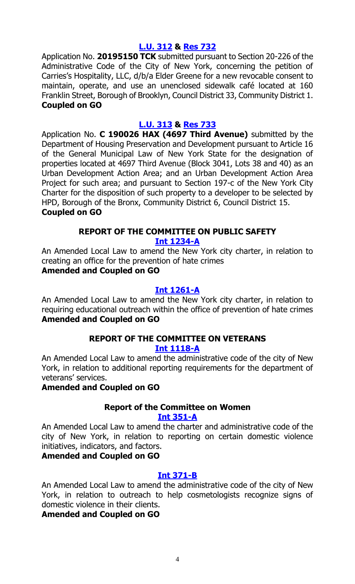#### **[L.U. 312](https://legistar.council.nyc.gov/LegislationDetail.aspx?ID=3785425&GUID=EFEA8F34-A21A-4B73-A650-9A8BB60D6521&Options=&Search=) & [Res](https://legistar.council.nyc.gov/LegislationDetail.aspx?ID=3841462&GUID=21F93D7B-FF01-4EF0-ABC3-A0FA5FC37C30&Options=&Search=) 732**

Application No. **20195150 TCK** submitted pursuant to Section 20-226 of the Administrative Code of the City of New York, concerning the petition of Carries's Hospitality, LLC, d/b/a Elder Greene for a new revocable consent to maintain, operate, and use an unenclosed sidewalk café located at 160 Franklin Street, Borough of Brooklyn, Council District 33, Community District 1. **Coupled on GO**

#### **[L.U. 313](https://legistar.council.nyc.gov/LegislationDetail.aspx?ID=3829594&GUID=8C8250BA-5F7C-466B-BF28-5F9A6C170136&Options=&Search=) & [Res](https://legistar.council.nyc.gov/LegislationDetail.aspx?ID=3841463&GUID=CF82AB28-4305-494D-876B-18D86678F383&Options=&Search=) 733**

Application No. **C 190026 HAX (4697 Third Avenue)** submitted by the Department of Housing Preservation and Development pursuant to Article 16 of the General Municipal Law of New York State for the designation of properties located at 4697 Third Avenue (Block 3041, Lots 38 and 40) as an Urban Development Action Area; and an Urban Development Action Area Project for such area; and pursuant to Section 197-c of the New York City Charter for the disposition of such property to a developer to be selected by HPD, Borough of the Bronx, Community District 6, Council District 15.

#### **Coupled on GO**

# **REPORT OF THE COMMITTEE ON PUBLIC SAFETY**

#### **[Int 1234-A](https://legistar.council.nyc.gov/LegislationDetail.aspx?ID=3727071&GUID=27A907C6-A393-4FCD-9D21-BFC0C2C63404&Options=&Search=)**

An Amended Local Law to amend the New York city charter, in relation to creating an office for the prevention of hate crimes

# **Amended and Coupled on GO**

#### **[Int 1261-A](https://legistar.council.nyc.gov/LegislationDetail.aspx?ID=3753838&GUID=EC7D01C8-7232-47C7-94F7-E36AFD9DA86C&Options=&Search=)**

An Amended Local Law to amend the New York city charter, in relation to requiring educational outreach within the office of prevention of hate crimes **Amended and Coupled on GO**

#### **REPORT OF THE COMMITTEE ON VETERANS [Int 1118-A](https://legistar.council.nyc.gov/LegislationDetail.aspx?ID=3686701&GUID=A2650921-31F4-4BE6-891F-EC09C25CA651&Options=&Search=)**

An Amended Local Law to amend the administrative code of the city of New York, in relation to additional reporting requirements for the department of veterans' services.

#### **Amended and Coupled on GO**

#### **Report of the Committee on Women [Int 351-A](https://legistar.council.nyc.gov/LegislationDetail.aspx?ID=3332142&GUID=13B15146-5BC4-436E-B4BA-33761ED55F96&Options=&Search=)**

An Amended Local Law to amend the charter and administrative code of the city of New York, in relation to reporting on certain domestic violence initiatives, indicators, and factors.

#### **Amended and Coupled on GO**

#### **[Int 371-B](https://legistar.council.nyc.gov/LegislationDetail.aspx?ID=3332149&GUID=EEA070C5-378B-4C8A-A759-5F7F49448C1F&Options=&Search=)**

An Amended Local Law to amend the administrative code of the city of New York, in relation to outreach to help cosmetologists recognize signs of domestic violence in their clients.

**Amended and Coupled on GO**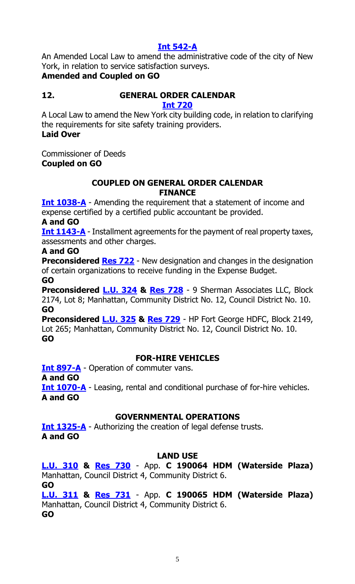# **[Int 542-A](https://legistar.council.nyc.gov/LegislationDetail.aspx?ID=3343998&GUID=8874EFD3-008C-41DA-B94A-A40B788C66DD&Options=&Search=)**

An Amended Local Law to amend the administrative code of the city of New York, in relation to service satisfaction surveys.

# **Amended and Coupled on GO**

# **12. GENERAL ORDER CALENDAR**

**[Int 720](https://legistar.council.nyc.gov/LegislationDetail.aspx?ID=3364140&GUID=4A00AE92-D940-431A-A3C6-0AA406BC41F1&Options=ID|&Search=0720)**

A Local Law to amend the New York city building code, in relation to clarifying the requirements for site safety training providers. **Laid Over**

Commissioner of Deeds **Coupled on GO**

# **COUPLED ON GENERAL ORDER CALENDAR FINANCE**

**[Int 1038-A](https://legistar.council.nyc.gov/LegislationDetail.aspx?ID=3557684&GUID=9A1FF8FF-374B-4EF7-AD8E-0EDE9310C416&Options=&Search=)** - Amending the requirement that a statement of income and expense certified by a certified public accountant be provided.

# **A and GO**

**[Int 1143-A](https://legistar.council.nyc.gov/LegislationDetail.aspx?ID=3704327&GUID=16D8634A-40D2-4029-809D-7CBFCD7E990E&Options=&Search=)** - Installment agreements for the payment of real property taxes, assessments and other charges.

# **A and GO**

**Preconsidered [Res 722](https://legistar.council.nyc.gov/LegislationDetail.aspx?ID=3838658&GUID=A72FCF7E-FDA8-4E9A-A6D6-B6A16617F3EA&Options=&Search=)** - New designation and changes in the designation of certain organizations to receive funding in the Expense Budget. **GO**

**Preconsidered [L.U. 324](https://legistar.council.nyc.gov/LegislationDetail.aspx?ID=3840122&GUID=BBFE13A9-8995-4289-B541-5B1F430B03FD&Options=&Search=) & [Res](https://legistar.council.nyc.gov/LegislationDetail.aspx?ID=3844930&GUID=D23E24FB-5C96-4DBA-9E28-EBAE32AB32E3&Options=&Search=) 728** - 9 Sherman Associates LLC, Block 2174, Lot 8; Manhattan, Community District No. 12, Council District No. 10. **GO**

**Preconsidered [L.U. 325](https://legistar.council.nyc.gov/LegislationDetail.aspx?ID=3840167&GUID=3463F837-2E67-404E-BAF1-CF6ED6106C97&Options=&Search=) & [Res](https://legistar.council.nyc.gov/LegislationDetail.aspx?ID=3844931&GUID=03642B5B-15DE-41D0-9841-56F5A28D82B2&Options=&Search=) 729** - HP Fort George HDFC, Block 2149, Lot 265; Manhattan, Community District No. 12, Council District No. 10. **GO**

# **FOR-HIRE VEHICLES**

**[Int 897-A](https://legistar.council.nyc.gov/LegislationDetail.aspx?ID=3498505&GUID=70DB1544-80FD-4AA6-8593-1C56C7E7607F&Options=&Search=)** - Operation of commuter vans.

**A and GO**

**[Int 1070-A](https://legistar.council.nyc.gov/LegislationDetail.aspx?ID=3597760&GUID=C59F09D7-5E1F-4656-9294-C0326D4EBBA3&Options=&Search=)** - Leasing, rental and conditional purchase of for-hire vehicles. **A and GO**

# **GOVERNMENTAL OPERATIONS**

**[Int 1325-A](https://legistar.council.nyc.gov/LegislationDetail.aspx?ID=3823152&GUID=665DDDF9-0F16-445F-857A-70A6A5BD5068&Options=&Search=)** - Authorizing the creation of legal defense trusts. **A and GO**

# **LAND USE**

**[L.U. 310](https://legistar.council.nyc.gov/LegislationDetail.aspx?ID=3785423&GUID=3F696999-1B45-465B-9EE2-DCA78847F7E2&Options=&Search=) & [Res 730](https://legistar.council.nyc.gov/LegislationDetail.aspx?ID=3841460&GUID=348F2CF1-0E8E-4315-BF10-FEA4CCC9006E&Options=&Search=)** - App. **C 190064 HDM (Waterside Plaza)** Manhattan, Council District 4, Community District 6. **GO**

**[L.U. 311](https://legistar.council.nyc.gov/LegislationDetail.aspx?ID=3785424&GUID=A272FFDD-8BBA-4145-962F-ACA5C354432F&Options=&Search=) & [Res 731](https://legistar.council.nyc.gov/LegislationDetail.aspx?ID=3841461&GUID=46DB9851-9360-4E33-8B5D-EDC97058ED34&Options=&Search=)** - App. **C 190065 HDM (Waterside Plaza)** Manhattan, Council District 4, Community District 6. **GO**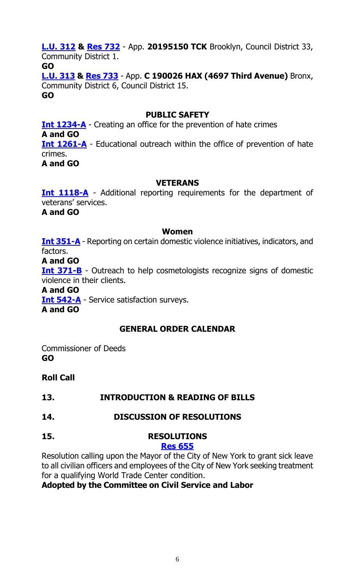**[L.U. 312](https://legistar.council.nyc.gov/LegislationDetail.aspx?ID=3785425&GUID=EFEA8F34-A21A-4B73-A650-9A8BB60D6521&Options=&Search=) & [Res](https://legistar.council.nyc.gov/LegislationDetail.aspx?ID=3841462&GUID=21F93D7B-FF01-4EF0-ABC3-A0FA5FC37C30&Options=&Search=) 732** - App. **20195150 TCK** Brooklyn, Council District 33, Community District 1. **GO [L.U. 313](https://legistar.council.nyc.gov/LegislationDetail.aspx?ID=3829594&GUID=8C8250BA-5F7C-466B-BF28-5F9A6C170136&Options=&Search=) & [Res](https://legistar.council.nyc.gov/LegislationDetail.aspx?ID=3841463&GUID=CF82AB28-4305-494D-876B-18D86678F383&Options=&Search=) 733** - App. **C 190026 HAX (4697 Third Avenue)** Bronx, Community District 6, Council District 15.

**GO**

# **PUBLIC SAFETY**

**[Int 1234-A](https://legistar.council.nyc.gov/LegislationDetail.aspx?ID=3727071&GUID=27A907C6-A393-4FCD-9D21-BFC0C2C63404&Options=&Search=)** - Creating an office for the prevention of hate crimes **A and GO [Int 1261-A](https://legistar.council.nyc.gov/LegislationDetail.aspx?ID=3753838&GUID=EC7D01C8-7232-47C7-94F7-E36AFD9DA86C&Options=&Search=)** - Educational outreach within the office of prevention of hate crimes. **A and GO**

# **VETERANS**

**[Int 1118-A](https://legistar.council.nyc.gov/LegislationDetail.aspx?ID=3686701&GUID=A2650921-31F4-4BE6-891F-EC09C25CA651&Options=&Search=)** - Additional reporting requirements for the department of veterans' services.

**A and GO**

#### **Women**

**[Int 351-A](https://legistar.council.nyc.gov/LegislationDetail.aspx?ID=3332142&GUID=13B15146-5BC4-436E-B4BA-33761ED55F96&Options=&Search=)** - Reporting on certain domestic violence initiatives, indicators, and factors.

#### **A and GO**

**[Int 371-B](https://legistar.council.nyc.gov/LegislationDetail.aspx?ID=3332149&GUID=EEA070C5-378B-4C8A-A759-5F7F49448C1F&Options=&Search=)** - Outreach to help cosmetologists recognize signs of domestic violence in their clients.

#### **A and GO**

**[Int 542-A](https://legistar.council.nyc.gov/LegislationDetail.aspx?ID=3343998&GUID=8874EFD3-008C-41DA-B94A-A40B788C66DD&Options=&Search=)** - Service satisfaction surveys.

**A and GO**

# **GENERAL ORDER CALENDAR**

Commissioner of Deeds **GO**

**Roll Call**

# **13. INTRODUCTION & READING OF BILLS**

**14. DISCUSSION OF RESOLUTIONS**

# **15. RESOLUTIONS**

# **[Res 655](https://legistar.council.nyc.gov/LegislationDetail.aspx?ID=3776466&GUID=265B35B0-376F-4BCB-A5CA-36B0968C997D&Options=ID|&Search=0655)**

Resolution calling upon the Mayor of the City of New York to grant sick leave to all civilian officers and employees of the City of New York seeking treatment for a qualifying World Trade Center condition.

# **Adopted by the Committee on Civil Service and Labor**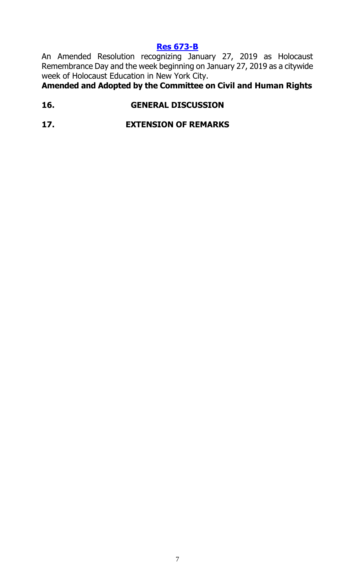# **[Res 673-B](https://legistar.council.nyc.gov/LegislationDetail.aspx?ID=3786080&GUID=B6EDF886-49B4-4F02-91B8-06D90549609D&Options=ID|&Search=0673)**

An Amended Resolution recognizing January 27, 2019 as Holocaust Remembrance Day and the week beginning on January 27, 2019 as a citywide week of Holocaust Education in New York City.

**Amended and Adopted by the Committee on Civil and Human Rights**

# **16. GENERAL DISCUSSION**

**17. EXTENSION OF REMARKS**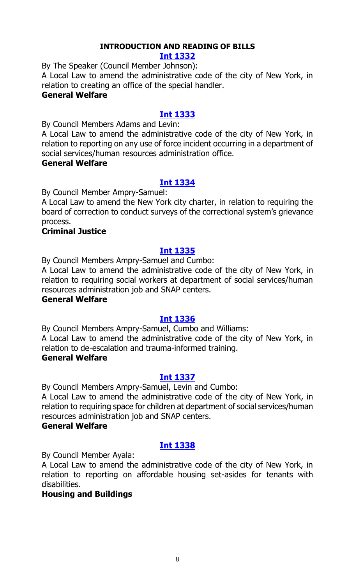# **INTRODUCTION AND READING OF BILLS**

#### **[Int 1332](https://legistar.council.nyc.gov/LegislationDetail.aspx?ID=3840820&GUID=D4B79683-7A7C-491C-89A7-E25B42871858&Options=&Search=)**

By The Speaker (Council Member Johnson):

A Local Law to amend the administrative code of the city of New York, in relation to creating an office of the special handler.

#### **General Welfare**

# **[Int 1333](https://legistar.council.nyc.gov/LegislationDetail.aspx?ID=3840816&GUID=90596DBF-AEC7-47A5-BF3E-EA446EC68C7E&Options=&Search=)**

By Council Members Adams and Levin:

A Local Law to amend the administrative code of the city of New York, in relation to reporting on any use of force incident occurring in a department of social services/human resources administration office.

#### **General Welfare**

#### **[Int 1334](https://legistar.council.nyc.gov/LegislationDetail.aspx?ID=3835709&GUID=425FFFCD-00ED-41D5-99C1-400C8BC8F900&Options=&Search=)**

By Council Member Ampry-Samuel:

A Local Law to amend the New York city charter, in relation to requiring the board of correction to conduct surveys of the correctional system's grievance process.

#### **Criminal Justice**

#### **[Int 1335](https://legistar.council.nyc.gov/LegislationDetail.aspx?ID=3840817&GUID=28F074EC-EA5A-4A7E-A9FF-207D43223E51&Options=&Search=)**

By Council Members Ampry-Samuel and Cumbo:

A Local Law to amend the administrative code of the city of New York, in relation to requiring social workers at department of social services/human resources administration job and SNAP centers.

#### **General Welfare**

#### **[Int 1336](https://legistar.council.nyc.gov/LegislationDetail.aspx?ID=3840819&GUID=1F5CA044-E394-4D60-A0C7-05425F6AD33A&Options=&Search=)**

By Council Members Ampry-Samuel, Cumbo and Williams: A Local Law to amend the administrative code of the city of New York, in relation to de-escalation and trauma-informed training.

#### **General Welfare**

#### **[Int 1337](https://legistar.council.nyc.gov/LegislationDetail.aspx?ID=3840818&GUID=EBD2B11D-A429-4310-93DF-5D58DA9C558C&Options=&Search=)**

By Council Members Ampry-Samuel, Levin and Cumbo: A Local Law to amend the administrative code of the city of New York, in relation to requiring space for children at department of social services/human resources administration job and SNAP centers.

#### **General Welfare**

# **[Int 1338](https://legistar.council.nyc.gov/LegislationDetail.aspx?ID=3844807&GUID=59FFE9E3-DF59-4BE5-BF51-2B44228B3A49&Options=&Search=)**

By Council Member Ayala:

A Local Law to amend the administrative code of the city of New York, in relation to reporting on affordable housing set-asides for tenants with disabilities.

#### **Housing and Buildings**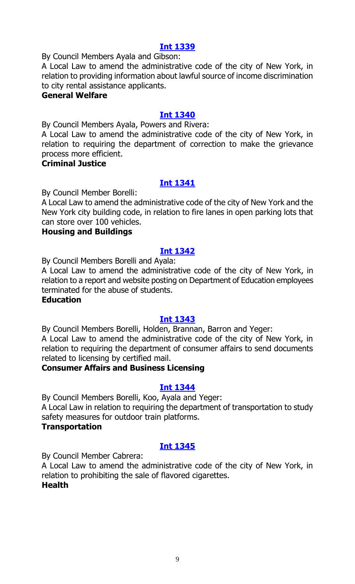By Council Members Ayala and Gibson:

A Local Law to amend the administrative code of the city of New York, in relation to providing information about lawful source of income discrimination to city rental assistance applicants.

#### **General Welfare**

#### **[Int 1340](https://legistar.council.nyc.gov/LegislationDetail.aspx?ID=3835708&GUID=3F7F8FA8-747D-4973-A73A-EB0A979CC074&Options=&Search=)**

By Council Members Ayala, Powers and Rivera:

A Local Law to amend the administrative code of the city of New York, in relation to requiring the department of correction to make the grievance process more efficient.

#### **Criminal Justice**

#### **[Int 1341](https://legistar.council.nyc.gov/LegislationDetail.aspx?ID=3844806&GUID=355E5A56-E689-487C-984B-DCEB226D7D0F&Options=&Search=)**

By Council Member Borelli:

A Local Law to amend the administrative code of the city of New York and the New York city building code, in relation to fire lanes in open parking lots that can store over 100 vehicles.

#### **Housing and Buildings**

#### **[Int 1342](https://legistar.council.nyc.gov/LegislationDetail.aspx?ID=3844808&GUID=11502275-0CE2-4449-9B04-07434FDAF664&Options=&Search=)**

By Council Members Borelli and Ayala:

A Local Law to amend the administrative code of the city of New York, in relation to a report and website posting on Department of Education employees terminated for the abuse of students.

#### **Education**

#### **[Int 1343](https://legistar.council.nyc.gov/LegislationDetail.aspx?ID=3844810&GUID=1D0A51BD-B18F-48B9-8DA7-615F03A03C9B&Options=&Search=)**

By Council Members Borelli, Holden, Brannan, Barron and Yeger: A Local Law to amend the administrative code of the city of New York, in relation to requiring the department of consumer affairs to send documents related to licensing by certified mail.

#### **Consumer Affairs and Business Licensing**

#### **[Int 1344](https://legistar.council.nyc.gov/LegislationDetail.aspx?ID=3844811&GUID=70FDA709-B87E-44AD-9136-2A20B8E207E6&Options=&Search=)**

By Council Members Borelli, Koo, Ayala and Yeger: A Local Law in relation to requiring the department of transportation to study safety measures for outdoor train platforms. **Transportation**

#### **[Int 1345](https://legistar.council.nyc.gov/LegislationDetail.aspx?ID=3844813&GUID=29F2AB73-802D-4200-9F3B-C9A38DB78358&Options=&Search=)**

By Council Member Cabrera:

A Local Law to amend the administrative code of the city of New York, in relation to prohibiting the sale of flavored cigarettes. **Health**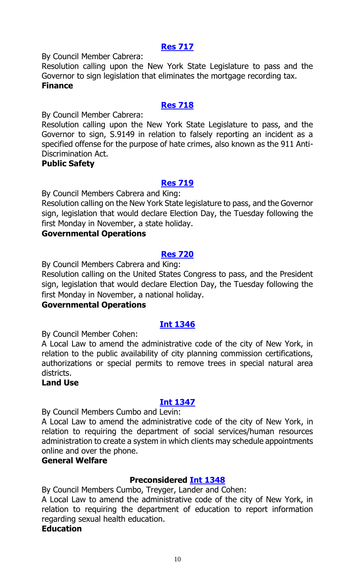#### **[Res 717](https://legistar.council.nyc.gov/LegislationDetail.aspx?ID=3844809&GUID=08FF6E86-1580-423A-92FB-780190B6E1C0&Options=&Search=)**

By Council Member Cabrera:

Resolution calling upon the New York State Legislature to pass and the Governor to sign legislation that eliminates the mortgage recording tax. **Finance**

### **[Res 718](https://legistar.council.nyc.gov/LegislationDetail.aspx?ID=3844816&GUID=CC568A72-08BF-4A0E-8638-B3F0EC8D80FB&Options=&Search=)**

By Council Member Cabrera:

Resolution calling upon the New York State Legislature to pass, and the Governor to sign, S.9149 in relation to falsely reporting an incident as a specified offense for the purpose of hate crimes, also known as the 911 Anti-Discrimination Act.

#### **Public Safety**

# **[Res 719](https://legistar.council.nyc.gov/LegislationDetail.aspx?ID=3844815&GUID=F773BC10-ECA3-4DF6-BBCC-7881E81808AB&Options=&Search=)**

By Council Members Cabrera and King:

Resolution calling on the New York State legislature to pass, and the Governor sign, legislation that would declare Election Day, the Tuesday following the first Monday in November, a state holiday.

#### **Governmental Operations**

#### **[Res 720](https://legistar.council.nyc.gov/LegislationDetail.aspx?ID=3844814&GUID=D05671B5-A4D6-45E4-B6CB-BB412681EF65&Options=&Search=)**

By Council Members Cabrera and King:

Resolution calling on the United States Congress to pass, and the President sign, legislation that would declare Election Day, the Tuesday following the first Monday in November, a national holiday.

#### **Governmental Operations**

#### **[Int 1346](https://legistar.council.nyc.gov/LegislationDetail.aspx?ID=3844835&GUID=75E1727C-F4A6-4849-B196-AE1C5A38C258&Options=&Search=)**

By Council Member Cohen:

A Local Law to amend the administrative code of the city of New York, in relation to the public availability of city planning commission certifications, authorizations or special permits to remove trees in special natural area districts.

#### **Land Use**

# **[Int 1347](https://legistar.council.nyc.gov/LegislationDetail.aspx?ID=3840822&GUID=B28D221A-F09D-4988-9E79-12E4240F6310&Options=&Search=)**

By Council Members Cumbo and Levin:

A Local Law to amend the administrative code of the city of New York, in relation to requiring the department of social services/human resources administration to create a system in which clients may schedule appointments online and over the phone.

# **General Welfare**

# **Preconsidered [Int 1348](https://legistar.council.nyc.gov/LegislationDetail.aspx?ID=3834156&GUID=A0ABDDA5-0868-45CD-A8C4-64E9B99013A0&Options=&Search=)**

By Council Members Cumbo, Treyger, Lander and Cohen:

A Local Law to amend the administrative code of the city of New York, in relation to requiring the department of education to report information regarding sexual health education.

#### **Education**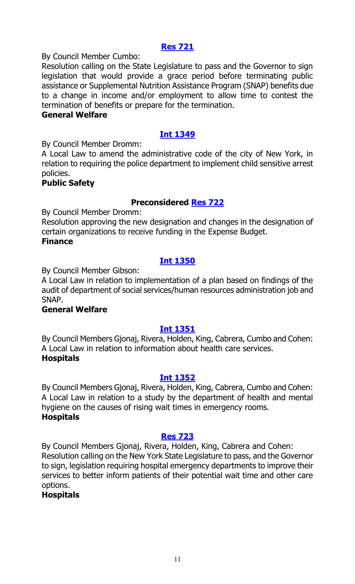#### **[Res 721](https://legistar.council.nyc.gov/LegislationDetail.aspx?ID=3840851&GUID=CC2E7BA9-CB2E-43B5-B1EE-9AF9D831E402&Options=&Search=)**

By Council Member Cumbo:

Resolution calling on the State Legislature to pass and the Governor to sign legislation that would provide a grace period before terminating public assistance or Supplemental Nutrition Assistance Program (SNAP) benefits due to a change in income and/or employment to allow time to contest the termination of benefits or prepare for the termination.

#### **General Welfare**

# **[Int 1349](https://legistar.council.nyc.gov/LegislationDetail.aspx?ID=3844837&GUID=F33CCA96-2836-4B2C-9D6B-C6E86387787B&Options=&Search=)**

By Council Member Dromm:

A Local Law to amend the administrative code of the city of New York, in relation to requiring the police department to implement child sensitive arrest policies.

#### **Public Safety**

#### **Preconsidered [Res 722](https://legistar.council.nyc.gov/LegislationDetail.aspx?ID=3838658&GUID=A72FCF7E-FDA8-4E9A-A6D6-B6A16617F3EA&Options=&Search=)**

By Council Member Dromm:

Resolution approving the new designation and changes in the designation of certain organizations to receive funding in the Expense Budget. **Finance**

#### **[Int 1350](https://legistar.council.nyc.gov/LegislationDetail.aspx?ID=3840815&GUID=7CE8F252-9389-4563-BA43-456489ED1905&Options=&Search=)**

By Council Member Gibson:

A Local Law in relation to implementation of a plan based on findings of the audit of department of social services/human resources administration job and SNAP.

#### **General Welfare**

#### **[Int 1351](https://legistar.council.nyc.gov/LegislationDetail.aspx?ID=3844829&GUID=E463A6C2-213D-4AB4-BAAF-25FF1C69094D&Options=&Search=)**

By Council Members Gjonaj, Rivera, Holden, King, Cabrera, Cumbo and Cohen: A Local Law in relation to information about health care services. **Hospitals**

#### **[Int 1352](https://legistar.council.nyc.gov/LegislationDetail.aspx?ID=3844831&GUID=00CA4FF8-1A82-461D-9457-6832B42776EB&Options=&Search=)**

By Council Members Gjonaj, Rivera, Holden, King, Cabrera, Cumbo and Cohen: A Local Law in relation to a study by the department of health and mental hygiene on the causes of rising wait times in emergency rooms. **Hospitals**

#### **[Res 723](https://legistar.council.nyc.gov/LegislationDetail.aspx?ID=3844830&GUID=75E7294C-C9E5-4699-B819-88C04F9FC3C5&Options=&Search=)**

By Council Members Gjonaj, Rivera, Holden, King, Cabrera and Cohen: Resolution calling on the New York State Legislature to pass, and the Governor to sign, legislation requiring hospital emergency departments to improve their services to better inform patients of their potential wait time and other care options.

**Hospitals**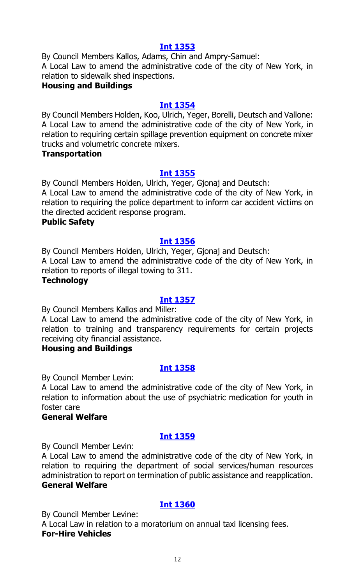By Council Members Kallos, Adams, Chin and Ampry-Samuel: A Local Law to amend the administrative code of the city of New York, in relation to sidewalk shed inspections.

# **Housing and Buildings**

#### **[Int 1354](https://legistar.council.nyc.gov/LegislationDetail.aspx?ID=3844833&GUID=FA95BD5C-2008-4CE2-8EEA-F5775552EF56&Options=&Search=)**

By Council Members Holden, Koo, Ulrich, Yeger, Borelli, Deutsch and Vallone: A Local Law to amend the administrative code of the city of New York, in relation to requiring certain spillage prevention equipment on concrete mixer trucks and volumetric concrete mixers.

#### **Transportation**

# **[Int 1355](https://legistar.council.nyc.gov/LegislationDetail.aspx?ID=3844832&GUID=324B5FAB-EF7F-4890-AD84-C71949732BCA&Options=&Search=)**

By Council Members Holden, Ulrich, Yeger, Gjonaj and Deutsch: A Local Law to amend the administrative code of the city of New York, in relation to requiring the police department to inform car accident victims on the directed accident response program.

#### **Public Safety**

#### **[Int 1356](https://legistar.council.nyc.gov/LegislationDetail.aspx?ID=3844834&GUID=B52AC2BB-7339-476F-85DA-8FE40BD67362&Options=&Search=)**

By Council Members Holden, Ulrich, Yeger, Gjonaj and Deutsch: A Local Law to amend the administrative code of the city of New York, in relation to reports of illegal towing to 311.

#### **Technology**

#### **[Int 1357](https://legistar.council.nyc.gov/LegislationDetail.aspx?ID=3844827&GUID=8E7C6407-0018-47F7-A717-D552B2D64647&Options=&Search=)**

By Council Members Kallos and Miller:

A Local Law to amend the administrative code of the city of New York, in relation to training and transparency requirements for certain projects receiving city financial assistance.

#### **Housing and Buildings**

# **[Int 1358](https://legistar.council.nyc.gov/LegislationDetail.aspx?ID=3844836&GUID=26D8ADC0-A657-41BB-A967-45D780383964&Options=&Search=)**

By Council Member Levin:

A Local Law to amend the administrative code of the city of New York, in relation to information about the use of psychiatric medication for youth in foster care

# **General Welfare**

#### **[Int 1359](https://legistar.council.nyc.gov/LegislationDetail.aspx?ID=3840821&GUID=50640DFF-B32E-49DA-93D1-5C63B52832DD&Options=&Search=)**

By Council Member Levin:

A Local Law to amend the administrative code of the city of New York, in relation to requiring the department of social services/human resources administration to report on termination of public assistance and reapplication. **General Welfare**

# **[Int 1360](https://legistar.council.nyc.gov/LegislationDetail.aspx?ID=3844838&GUID=5A3CB60D-2406-4C4C-8943-485940FDF35D&Options=&Search=)**

By Council Member Levine:

A Local Law in relation to a moratorium on annual taxi licensing fees. **For-Hire Vehicles**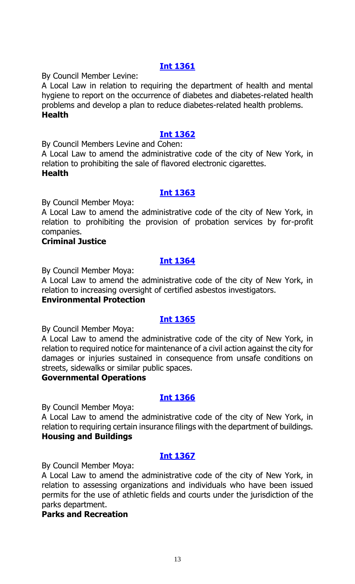By Council Member Levine:

A Local Law in relation to requiring the department of health and mental hygiene to report on the occurrence of diabetes and diabetes-related health problems and develop a plan to reduce diabetes-related health problems. **Health**

# **[Int 1362](https://legistar.council.nyc.gov/LegislationDetail.aspx?ID=3844851&GUID=197102F3-0749-4E4D-A34F-469C8F5DE84C&Options=&Search=)**

By Council Members Levine and Cohen:

A Local Law to amend the administrative code of the city of New York, in relation to prohibiting the sale of flavored electronic cigarettes. **Health**

#### **[Int 1363](https://legistar.council.nyc.gov/LegislationDetail.aspx?ID=3844844&GUID=A7DB02A5-5012-4C8B-99CD-A83F09092518&Options=&Search=)**

By Council Member Moya:

A Local Law to amend the administrative code of the city of New York, in relation to prohibiting the provision of probation services by for-profit companies.

# **Criminal Justice**

# **[Int 1364](https://legistar.council.nyc.gov/LegislationDetail.aspx?ID=3844847&GUID=498AFCFC-CBFD-46E1-961F-DB48AB9C23A3&Options=&Search=)**

By Council Member Moya:

A Local Law to amend the administrative code of the city of New York, in relation to increasing oversight of certified asbestos investigators.

#### **Environmental Protection**

# **[Int 1365](https://legistar.council.nyc.gov/LegislationDetail.aspx?ID=3844853&GUID=963D348F-AC9E-4116-9BDF-507A5C76C0F7&Options=&Search=)**

By Council Member Moya:

A Local Law to amend the administrative code of the city of New York, in relation to required notice for maintenance of a civil action against the city for damages or injuries sustained in consequence from unsafe conditions on streets, sidewalks or similar public spaces.

#### **Governmental Operations**

#### **[Int 1366](https://legistar.council.nyc.gov/LegislationDetail.aspx?ID=3844852&GUID=A2C40339-64F3-46E2-98DB-CB53D9BD6217&Options=&Search=)**

By Council Member Moya:

A Local Law to amend the administrative code of the city of New York, in relation to requiring certain insurance filings with the department of buildings. **Housing and Buildings**

#### **[Int 1367](https://legistar.council.nyc.gov/LegislationDetail.aspx?ID=3844846&GUID=D79AC0B7-F185-4C25-9BD6-210D7559B54F&Options=&Search=)**

By Council Member Moya:

A Local Law to amend the administrative code of the city of New York, in relation to assessing organizations and individuals who have been issued permits for the use of athletic fields and courts under the jurisdiction of the parks department.

### **Parks and Recreation**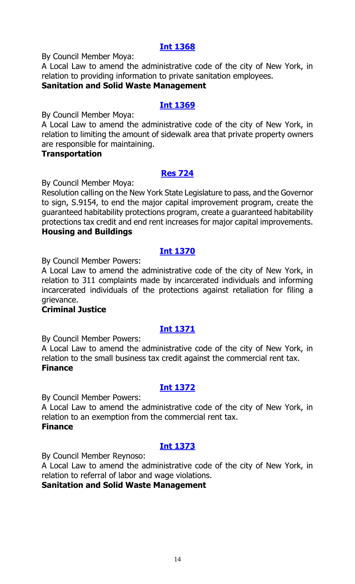By Council Member Moya:

A Local Law to amend the administrative code of the city of New York, in relation to providing information to private sanitation employees.

# **Sanitation and Solid Waste Management**

### **[Int 1369](https://legistar.council.nyc.gov/LegislationDetail.aspx?ID=3844850&GUID=4A9CC43E-742A-49D9-A520-F39512D2EFB0&Options=&Search=)**

By Council Member Moya:

A Local Law to amend the administrative code of the city of New York, in relation to limiting the amount of sidewalk area that private property owners are responsible for maintaining.

#### **Transportation**

# **[Res 724](https://legistar.council.nyc.gov/LegislationDetail.aspx?ID=3844849&GUID=75358B9C-E75F-4F92-8863-B23655B84321&Options=&Search=)**

By Council Member Moya:

Resolution calling on the New York State Legislature to pass, and the Governor to sign, S.9154, to end the major capital improvement program, create the guaranteed habitability protections program, create a guaranteed habitability protections tax credit and end rent increases for major capital improvements. **Housing and Buildings**

# **[Int 1370](https://legistar.council.nyc.gov/LegislationDetail.aspx?ID=3835707&GUID=29610724-80CA-4269-AB74-49F2BD63D2F7&Options=&Search=)**

By Council Member Powers:

A Local Law to amend the administrative code of the city of New York, in relation to 311 complaints made by incarcerated individuals and informing incarcerated individuals of the protections against retaliation for filing a grievance.

#### **Criminal Justice**

# **[Int 1371](https://legistar.council.nyc.gov/LegislationDetail.aspx?ID=3844845&GUID=CC94328E-FB47-48DD-8D77-98233EFC6DC9&Options=&Search=)**

By Council Member Powers:

A Local Law to amend the administrative code of the city of New York, in relation to the small business tax credit against the commercial rent tax. **Finance**

#### **[Int 1372](https://legistar.council.nyc.gov/LegislationDetail.aspx?ID=3844862&GUID=8752F793-34B4-4F86-B79A-DB94514581F2&Options=&Search=)**

By Council Member Powers:

A Local Law to amend the administrative code of the city of New York, in relation to an exemption from the commercial rent tax. **Finance**

# **[Int 1373](https://legistar.council.nyc.gov/LegislationDetail.aspx?ID=3836036&GUID=5FA459C3-156F-4892-B654-7D081C204FF8&Options=&Search=)**

By Council Member Reynoso:

A Local Law to amend the administrative code of the city of New York, in relation to referral of labor and wage violations.

**Sanitation and Solid Waste Management**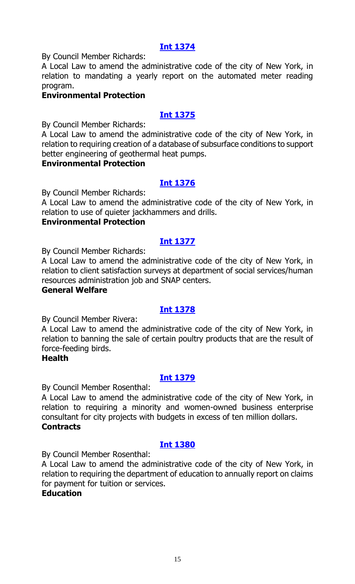By Council Member Richards:

A Local Law to amend the administrative code of the city of New York, in relation to mandating a yearly report on the automated meter reading program.

# **Environmental Protection**

# **[Int 1375](https://legistar.council.nyc.gov/LegislationDetail.aspx?ID=3844868&GUID=4700AEAE-8EAB-45D2-841B-DF689339D8E7&Options=&Search=)**

By Council Member Richards:

A Local Law to amend the administrative code of the city of New York, in relation to requiring creation of a database of subsurface conditions to support better engineering of geothermal heat pumps.

#### **Environmental Protection**

# **[Int 1376](https://legistar.council.nyc.gov/LegislationDetail.aspx?ID=3844869&GUID=8849DC0A-A3F7-46D0-BCED-A599B0B20273&Options=&Search=)**

By Council Member Richards:

A Local Law to amend the administrative code of the city of New York, in relation to use of quieter jackhammers and drills.

### **Environmental Protection**

#### **[Int 1377](https://legistar.council.nyc.gov/LegislationDetail.aspx?ID=3840853&GUID=41B9E307-18A0-437C-B78B-120B1B3CC5DF&Options=&Search=)**

By Council Member Richards:

A Local Law to amend the administrative code of the city of New York, in relation to client satisfaction surveys at department of social services/human resources administration job and SNAP centers.

#### **General Welfare**

# **[Int 1378](https://legistar.council.nyc.gov/LegislationDetail.aspx?ID=3844860&GUID=A91556AB-4F62-4902-A808-0FEE9B46F16D&Options=&Search=)**

By Council Member Rivera:

A Local Law to amend the administrative code of the city of New York, in relation to banning the sale of certain poultry products that are the result of force-feeding birds.

#### **Health**

# **[Int 1379](https://legistar.council.nyc.gov/LegislationDetail.aspx?ID=3844858&GUID=FFF1B605-D3E8-4875-B056-FAB617A96A17&Options=&Search=)**

By Council Member Rosenthal:

A Local Law to amend the administrative code of the city of New York, in relation to requiring a minority and women-owned business enterprise consultant for city projects with budgets in excess of ten million dollars. **Contracts**

#### **[Int 1380](https://legistar.council.nyc.gov/LegislationDetail.aspx?ID=3844861&GUID=92B9E59A-59D9-485F-84F5-25C283E8F24E&Options=&Search=)**

By Council Member Rosenthal:

A Local Law to amend the administrative code of the city of New York, in relation to requiring the department of education to annually report on claims for payment for tuition or services.

#### **Education**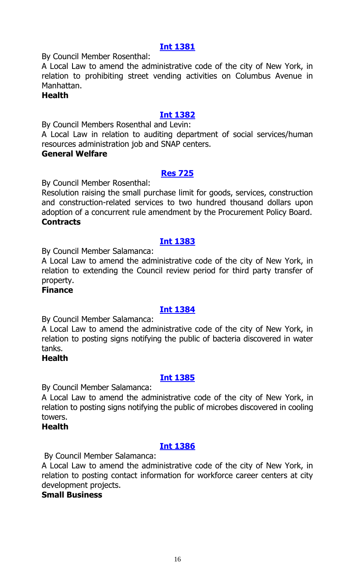By Council Member Rosenthal:

A Local Law to amend the administrative code of the city of New York, in relation to prohibiting street vending activities on Columbus Avenue in Manhattan.

#### **Health**

# **[Int 1382](https://legistar.council.nyc.gov/LegislationDetail.aspx?ID=3840852&GUID=159A8F38-2CDE-4B8E-9E5D-502F11FC211C&Options=&Search=)**

By Council Members Rosenthal and Levin: A Local Law in relation to auditing department of social services/human

resources administration job and SNAP centers.

#### **General Welfare**

#### **[Res 725](https://legistar.council.nyc.gov/LegislationDetail.aspx?ID=3844857&GUID=74FE37EF-FE12-4BD5-9797-6ECC61162D6A&Options=&Search=)**

By Council Member Rosenthal:

Resolution raising the small purchase limit for goods, services, construction and construction-related services to two hundred thousand dollars upon adoption of a concurrent rule amendment by the Procurement Policy Board. **Contracts**

#### **[Int 1383](https://legistar.council.nyc.gov/LegislationDetail.aspx?ID=3844867&GUID=091F6C54-DB66-48BD-9EFF-802A69DA56F6&Options=&Search=)**

By Council Member Salamanca:

A Local Law to amend the administrative code of the city of New York, in relation to extending the Council review period for third party transfer of property.

#### **Finance**

# **[Int 1384](https://legistar.council.nyc.gov/LegislationDetail.aspx?ID=3844864&GUID=BC67B9B7-6E9B-4CC3-B6C6-30F903778907&Options=&Search=)**

By Council Member Salamanca:

A Local Law to amend the administrative code of the city of New York, in relation to posting signs notifying the public of bacteria discovered in water tanks.

#### **Health**

#### **[Int 1385](https://legistar.council.nyc.gov/LegislationDetail.aspx?ID=3844865&GUID=B9390DBB-58C3-46CD-B0CC-9924BF7101C4&Options=&Search=)**

By Council Member Salamanca:

A Local Law to amend the administrative code of the city of New York, in relation to posting signs notifying the public of microbes discovered in cooling towers.

#### **Health**

#### **[Int 1386](https://legistar.council.nyc.gov/LegislationDetail.aspx?ID=3844863&GUID=17CB8497-21B1-4907-95B7-944F71CC9C72&Options=&Search=)**

By Council Member Salamanca:

A Local Law to amend the administrative code of the city of New York, in relation to posting contact information for workforce career centers at city development projects.

#### **Small Business**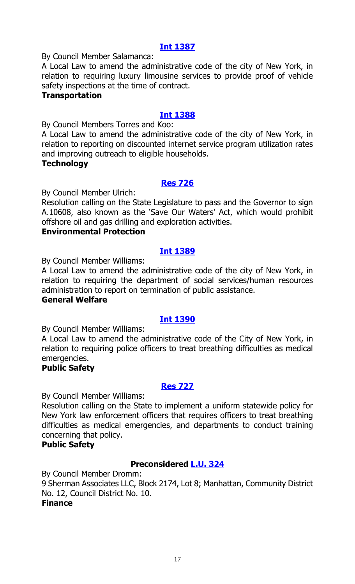By Council Member Salamanca:

A Local Law to amend the administrative code of the city of New York, in relation to requiring luxury limousine services to provide proof of vehicle safety inspections at the time of contract.

#### **Transportation**

# **[Int 1388](https://legistar.council.nyc.gov/LegislationDetail.aspx?ID=3844873&GUID=18EB1072-9782-4D2F-9118-34BAA68E2550&Options=&Search=)**

By Council Members Torres and Koo:

A Local Law to amend the administrative code of the city of New York, in relation to reporting on discounted internet service program utilization rates and improving outreach to eligible households.

#### **Technology**

# **[Res 726](https://legistar.council.nyc.gov/LegislationDetail.aspx?ID=3844872&GUID=3F7948C8-109C-42EA-82EA-D13E79814D51&Options=&Search=)**

By Council Member Ulrich:

Resolution calling on the State Legislature to pass and the Governor to sign A.10608, also known as the 'Save Our Waters' Act, which would prohibit offshore oil and gas drilling and exploration activities.

#### **Environmental Protection**

#### **[Int 1389](https://legistar.council.nyc.gov/LegislationDetail.aspx?ID=3840854&GUID=6A084E1A-DDFD-44ED-A59B-2B47F35DC3BE&Options=&Search=)**

By Council Member Williams:

A Local Law to amend the administrative code of the city of New York, in relation to requiring the department of social services/human resources administration to report on termination of public assistance.

#### **General Welfare**

# **[Int 1390](https://legistar.council.nyc.gov/LegislationDetail.aspx?ID=3844875&GUID=7AD813A1-AA45-499C-8F01-0A44DA6A7C10&Options=&Search=)**

By Council Member Williams:

A Local Law to amend the administrative code of the City of New York, in relation to requiring police officers to treat breathing difficulties as medical emergencies.

#### **Public Safety**

#### **[Res 727](https://legistar.council.nyc.gov/LegislationDetail.aspx?ID=3844874&GUID=461FD11B-F418-4823-ADBD-CCC461B8B02A&Options=&Search=)**

By Council Member Williams:

Resolution calling on the State to implement a uniform statewide policy for New York law enforcement officers that requires officers to treat breathing difficulties as medical emergencies, and departments to conduct training concerning that policy.

#### **Public Safety**

# **Preconsidered [L.U. 324](https://legistar.council.nyc.gov/LegislationDetail.aspx?ID=3840122&GUID=BBFE13A9-8995-4289-B541-5B1F430B03FD&Options=&Search=)**

By Council Member Dromm: 9 Sherman Associates LLC, Block 2174, Lot 8; Manhattan, Community District No. 12, Council District No. 10. **Finance**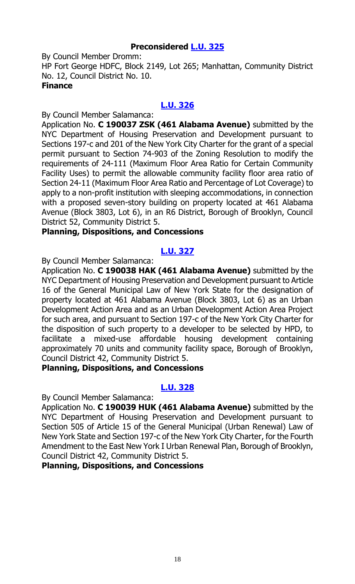# **Preconsidered [L.U. 325](https://legistar.council.nyc.gov/LegislationDetail.aspx?ID=3840167&GUID=3463F837-2E67-404E-BAF1-CF6ED6106C97&Options=&Search=)**

By Council Member Dromm: HP Fort George HDFC, Block 2149, Lot 265; Manhattan, Community District No. 12, Council District No. 10. **Finance**

# **[L.U. 326](https://legistar.council.nyc.gov/LegislationDetail.aspx?ID=3844877&GUID=51C25B1C-924E-46FF-A15C-75C5F0090EF2&Options=&Search=)**

By Council Member Salamanca:

Application No. **C 190037 ZSK (461 Alabama Avenue)** submitted by the NYC Department of Housing Preservation and Development pursuant to Sections 197-c and 201 of the New York City Charter for the grant of a special permit pursuant to Section 74-903 of the Zoning Resolution to modify the requirements of 24-111 (Maximum Floor Area Ratio for Certain Community Facility Uses) to permit the allowable community facility floor area ratio of Section 24-11 (Maximum Floor Area Ratio and Percentage of Lot Coverage) to apply to a non-profit institution with sleeping accommodations, in connection with a proposed seven-story building on property located at 461 Alabama Avenue (Block 3803, Lot 6), in an R6 District, Borough of Brooklyn, Council District 52, Community District 5.

#### **Planning, Dispositions, and Concessions**

# **[L.U. 327](https://legistar.council.nyc.gov/LegislationDetail.aspx?ID=3844878&GUID=083F83B4-F739-4915-9838-8DB0773DBA07&Options=&Search=)**

By Council Member Salamanca:

Application No. **C 190038 HAK (461 Alabama Avenue)** submitted by the NYC Department of Housing Preservation and Development pursuant to Article 16 of the General Municipal Law of New York State for the designation of property located at 461 Alabama Avenue (Block 3803, Lot 6) as an Urban Development Action Area and as an Urban Development Action Area Project for such area, and pursuant to Section 197-c of the New York City Charter for the disposition of such property to a developer to be selected by HPD, to facilitate a mixed-use affordable housing development containing approximately 70 units and community facility space, Borough of Brooklyn, Council District 42, Community District 5.

### **Planning, Dispositions, and Concessions**

# **[L.U. 328](https://legistar.council.nyc.gov/LegislationDetail.aspx?ID=3844879&GUID=E2C9A080-5921-4F1A-B058-385E1A4FF0DE&Options=&Search=)**

By Council Member Salamanca:

Application No. **C 190039 HUK (461 Alabama Avenue)** submitted by the NYC Department of Housing Preservation and Development pursuant to Section 505 of Article 15 of the General Municipal (Urban Renewal) Law of New York State and Section 197-c of the New York City Charter, for the Fourth Amendment to the East New York I Urban Renewal Plan, Borough of Brooklyn, Council District 42, Community District 5.

# **Planning, Dispositions, and Concessions**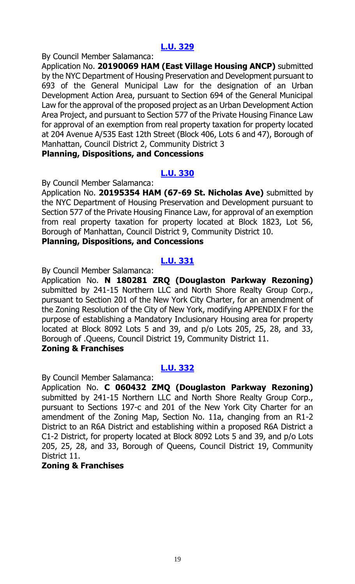By Council Member Salamanca:

Application No. **20190069 HAM (East Village Housing ANCP)** submitted by the NYC Department of Housing Preservation and Development pursuant to 693 of the General Municipal Law for the designation of an Urban Development Action Area, pursuant to Section 694 of the General Municipal Law for the approval of the proposed project as an Urban Development Action Area Project, and pursuant to Section 577 of the Private Housing Finance Law for approval of an exemption from real property taxation for property located at 204 Avenue A/535 East 12th Street (Block 406, Lots 6 and 47), Borough of Manhattan, Council District 2, Community District 3

#### **Planning, Dispositions, and Concessions**

# **[L.U. 330](https://legistar.council.nyc.gov/LegislationDetail.aspx?ID=3844881&GUID=9203EB20-4243-4971-B0B9-0A061DF0DC82&Options=&Search=)**

By Council Member Salamanca:

Application No. **20195354 HAM (67-69 St. Nicholas Ave)** submitted by the NYC Department of Housing Preservation and Development pursuant to Section 577 of the Private Housing Finance Law, for approval of an exemption from real property taxation for property located at Block 1823, Lot 56, Borough of Manhattan, Council District 9, Community District 10.

# **Planning, Dispositions, and Concessions**

# **[L.U. 331](https://legistar.council.nyc.gov/LegislationDetail.aspx?ID=3844882&GUID=4F658D53-ED24-4BC2-9783-EEA823080DB2&Options=&Search=)**

By Council Member Salamanca:

Application No. **N 180281 ZRQ (Douglaston Parkway Rezoning)** submitted by 241-15 Northern LLC and North Shore Realty Group Corp., pursuant to Section 201 of the New York City Charter, for an amendment of the Zoning Resolution of the City of New York, modifying APPENDIX F for the purpose of establishing a Mandatory Inclusionary Housing area for property located at Block 8092 Lots 5 and 39, and p/o Lots 205, 25, 28, and 33, Borough of .Queens, Council District 19, Community District 11.

# **Zoning & Franchises**

# **[L.U. 332](https://legistar.council.nyc.gov/LegislationDetail.aspx?ID=3844883&GUID=FDB9A757-54FC-4A94-A475-44E6AD575F09&Options=&Search=)**

By Council Member Salamanca:

Application No. **C 060432 ZMQ (Douglaston Parkway Rezoning)** submitted by 241-15 Northern LLC and North Shore Realty Group Corp., pursuant to Sections 197-c and 201 of the New York City Charter for an amendment of the Zoning Map, Section No. 11a, changing from an R1-2 District to an R6A District and establishing within a proposed R6A District a C1-2 District, for property located at Block 8092 Lots 5 and 39, and p/o Lots 205, 25, 28, and 33, Borough of Queens, Council District 19, Community District 11.

# **Zoning & Franchises**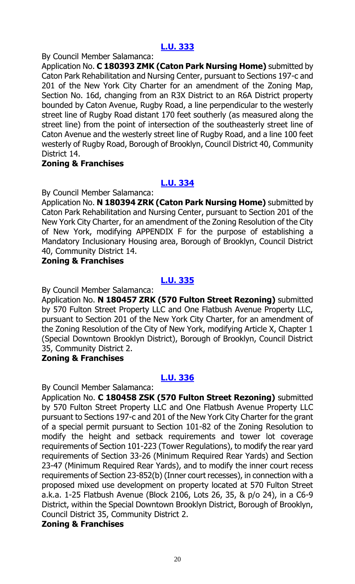By Council Member Salamanca:

Application No. **C 180393 ZMK (Caton Park Nursing Home)** submitted by Caton Park Rehabilitation and Nursing Center, pursuant to Sections 197-c and 201 of the New York City Charter for an amendment of the Zoning Map, Section No. 16d, changing from an R3X District to an R6A District property bounded by Caton Avenue, Rugby Road, a line perpendicular to the westerly street line of Rugby Road distant 170 feet southerly (as measured along the street line) from the point of intersection of the southeasterly street line of Caton Avenue and the westerly street line of Rugby Road, and a line 100 feet westerly of Rugby Road, Borough of Brooklyn, Council District 40, Community District 14.

# **Zoning & Franchises**

# **[L.U. 334](https://legistar.council.nyc.gov/LegislationDetail.aspx?ID=3844885&GUID=B459C877-101F-4281-9861-4D9D92E4FBCD&Options=&Search=)**

By Council Member Salamanca:

Application No. **N 180394 ZRK (Caton Park Nursing Home)** submitted by Caton Park Rehabilitation and Nursing Center, pursuant to Section 201 of the New York City Charter, for an amendment of the Zoning Resolution of the City of New York, modifying APPENDIX F for the purpose of establishing a Mandatory Inclusionary Housing area, Borough of Brooklyn, Council District 40, Community District 14.

#### **Zoning & Franchises**

# **[L.U. 335](https://legistar.council.nyc.gov/LegislationDetail.aspx?ID=3844886&GUID=D052B674-347F-4F1C-A75B-341C28A94D2C&Options=&Search=)**

By Council Member Salamanca:

Application No. **N 180457 ZRK (570 Fulton Street Rezoning)** submitted by 570 Fulton Street Property LLC and One Flatbush Avenue Property LLC, pursuant to Section 201 of the New York City Charter, for an amendment of the Zoning Resolution of the City of New York, modifying Article X, Chapter 1 (Special Downtown Brooklyn District), Borough of Brooklyn, Council District 35, Community District 2.

#### **Zoning & Franchises**

# **[L.U. 336](https://legistar.council.nyc.gov/LegislationDetail.aspx?ID=3844887&GUID=C684E462-83A2-493A-87CA-38721454175A&Options=&Search=)**

By Council Member Salamanca:

Application No. **C 180458 ZSK (570 Fulton Street Rezoning)** submitted by 570 Fulton Street Property LLC and One Flatbush Avenue Property LLC pursuant to Sections 197-c and 201 of the New York City Charter for the grant of a special permit pursuant to Section 101-82 of the Zoning Resolution to modify the height and setback requirements and tower lot coverage requirements of Section 101-223 (Tower Regulations), to modify the rear yard requirements of Section 33-26 (Minimum Required Rear Yards) and Section 23-47 (Minimum Required Rear Yards), and to modify the inner court recess requirements of Section 23-852(b) (Inner court recesses), in connection with a proposed mixed use development on property located at 570 Fulton Street a.k.a. 1-25 Flatbush Avenue (Block 2106, Lots 26, 35, & p/o 24), in a C6-9 District, within the Special Downtown Brooklyn District, Borough of Brooklyn, Council District 35, Community District 2.

#### **Zoning & Franchises**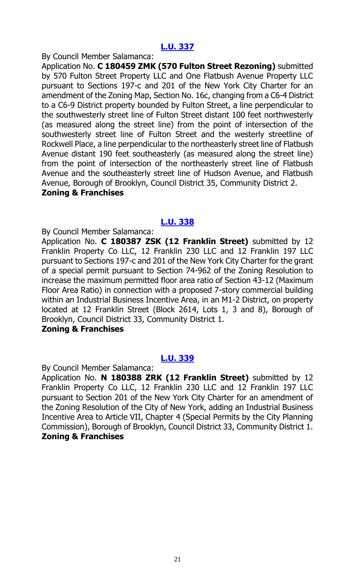#### By Council Member Salamanca:

Application No. **C 180459 ZMK (570 Fulton Street Rezoning)** submitted by 570 Fulton Street Property LLC and One Flatbush Avenue Property LLC pursuant to Sections 197-c and 201 of the New York City Charter for an amendment of the Zoning Map, Section No. 16c, changing from a C6-4 District to a C6-9 District property bounded by Fulton Street, a line perpendicular to the southwesterly street line of Fulton Street distant 100 feet northwesterly (as measured along the street line) from the point of intersection of the southwesterly street line of Fulton Street and the westerly streetline of Rockwell Place, a line perpendicular to the northeasterly street line of Flatbush Avenue distant 190 feet southeasterly (as measured along the street line) from the point of intersection of the northeasterly street line of Flatbush Avenue and the southeasterly street line of Hudson Avenue, and Flatbush Avenue, Borough of Brooklyn, Council District 35, Community District 2. **Zoning & Franchises**

# **[L.U. 338](https://legistar.council.nyc.gov/LegislationDetail.aspx?ID=3844889&GUID=D962D877-EB19-45BB-A4D9-53EBAA3D4025&Options=&Search=)**

By Council Member Salamanca:

Application No. **C 180387 ZSK (12 Franklin Street)** submitted by 12 Franklin Property Co LLC, 12 Franklin 230 LLC and 12 Franklin 197 LLC pursuant to Sections 197-c and 201 of the New York City Charter for the grant of a special permit pursuant to Section 74-962 of the Zoning Resolution to increase the maximum permitted floor area ratio of Section 43-12 (Maximum Floor Area Ratio) in connection with a proposed 7-story commercial building within an Industrial Business Incentive Area, in an M1-2 District, on property located at 12 Franklin Street (Block 2614, Lots 1, 3 and 8), Borough of Brooklyn, Council District 33, Community District 1.

#### **Zoning & Franchises**

# **[L.U. 339](https://legistar.council.nyc.gov/LegislationDetail.aspx?ID=3844890&GUID=6749E5FF-9ADA-4B6E-AEF4-2F8D99F536C9&Options=&Search=)**

By Council Member Salamanca:

Application No. **N 180388 ZRK (12 Franklin Street)** submitted by 12 Franklin Property Co LLC, 12 Franklin 230 LLC and 12 Franklin 197 LLC pursuant to Section 201 of the New York City Charter for an amendment of the Zoning Resolution of the City of New York, adding an Industrial Business Incentive Area to Article VII, Chapter 4 (Special Permits by the City Planning Commission), Borough of Brooklyn, Council District 33, Community District 1. **Zoning & Franchises**